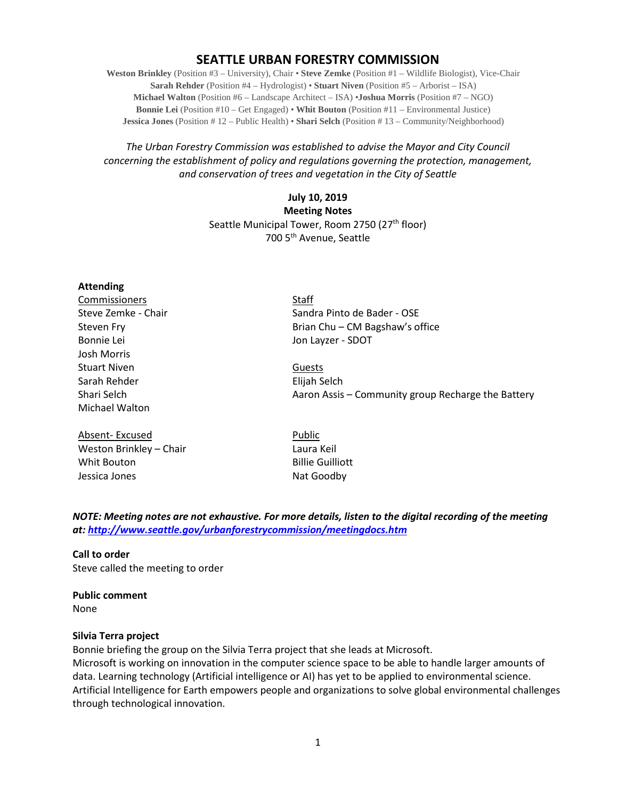# **SEATTLE URBAN FORESTRY COMMISSION**

**Weston Brinkley** (Position #3 – University), Chair • **Steve Zemke** (Position #1 – Wildlife Biologist), Vice-Chair **Sarah Rehder** (Position #4 – Hydrologist) • **Stuart Niven** (Position #5 – Arborist – ISA) **Michael Walton** (Position #6 – Landscape Architect – ISA) •**Joshua Morris** (Position #7 – NGO) **Bonnie Lei** (Position #10 – Get Engaged) • **Whit Bouton** (Position #11 – Environmental Justice) **Jessica Jones** (Position # 12 – Public Health) • **Shari Selch** (Position # 13 – Community/Neighborhood)

# *The Urban Forestry Commission was established to advise the Mayor and City Council concerning the establishment of policy and regulations governing the protection, management, and conservation of trees and vegetation in the City of Seattle*

**July 10, 2019 Meeting Notes** Seattle Municipal Tower, Room 2750 (27<sup>th</sup> floor) 700 5th Avenue, Seattle

#### **Attending**

**Commissioners** Staff Bonnie Lei **Bonnie Lei** Jon Layzer - SDOT Josh Morris Stuart Niven **Guests** Sarah Rehder **Elijah Selch** Michael Walton

Absent- Excused Public Weston Brinkley – Chair Laura Keil Whit Bouton **Billie Guilliott** Jessica Jones Nat Goodby

Steve Zemke - Chair Sandra Pinto de Bader - OSE Steven Fry **Steven Fry Executes** Brian Chu – CM Bagshaw's office

Shari Selch **Agrees 20 Shari Selch Aaron Assis – Community group Recharge the Battery** 

# *NOTE: Meeting notes are not exhaustive. For more details, listen to the digital recording of the meeting at:<http://www.seattle.gov/urbanforestrycommission/meetingdocs.htm>*

### **Call to order**

Steve called the meeting to order

### **Public comment**

None

### **Silvia Terra project**

Bonnie briefing the group on the Silvia Terra project that she leads at Microsoft.

Microsoft is working on innovation in the computer science space to be able to handle larger amounts of data. Learning technology (Artificial intelligence or AI) has yet to be applied to environmental science. Artificial Intelligence for Earth empowers people and organizations to solve global environmental challenges through technological innovation.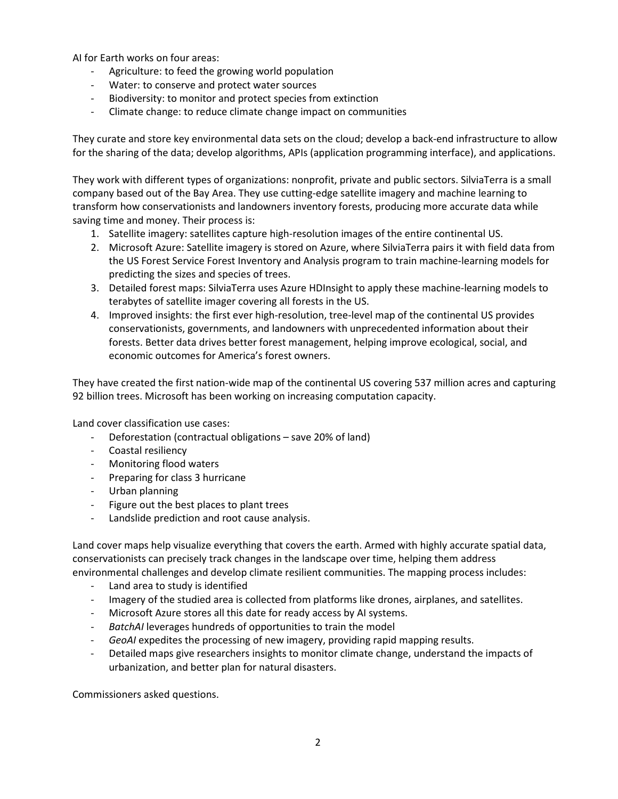AI for Earth works on four areas:

- Agriculture: to feed the growing world population
- Water: to conserve and protect water sources
- Biodiversity: to monitor and protect species from extinction
- Climate change: to reduce climate change impact on communities

They curate and store key environmental data sets on the cloud; develop a back-end infrastructure to allow for the sharing of the data; develop algorithms, APIs (application programming interface), and applications.

They work with different types of organizations: nonprofit, private and public sectors. SilviaTerra is a small company based out of the Bay Area. They use cutting-edge satellite imagery and machine learning to transform how conservationists and landowners inventory forests, producing more accurate data while saving time and money. Their process is:

- 1. Satellite imagery: satellites capture high-resolution images of the entire continental US.
- 2. Microsoft Azure: Satellite imagery is stored on Azure, where SilviaTerra pairs it with field data from the US Forest Service Forest Inventory and Analysis program to train machine-learning models for predicting the sizes and species of trees.
- 3. Detailed forest maps: SilviaTerra uses Azure HDInsight to apply these machine-learning models to terabytes of satellite imager covering all forests in the US.
- 4. Improved insights: the first ever high-resolution, tree-level map of the continental US provides conservationists, governments, and landowners with unprecedented information about their forests. Better data drives better forest management, helping improve ecological, social, and economic outcomes for America's forest owners.

They have created the first nation-wide map of the continental US covering 537 million acres and capturing 92 billion trees. Microsoft has been working on increasing computation capacity.

Land cover classification use cases:

- Deforestation (contractual obligations save 20% of land)
- Coastal resiliency
- Monitoring flood waters
- Preparing for class 3 hurricane
- Urban planning
- Figure out the best places to plant trees
- Landslide prediction and root cause analysis.

Land cover maps help visualize everything that covers the earth. Armed with highly accurate spatial data, conservationists can precisely track changes in the landscape over time, helping them address environmental challenges and develop climate resilient communities. The mapping process includes:

- Land area to study is identified
- Imagery of the studied area is collected from platforms like drones, airplanes, and satellites.
- Microsoft Azure stores all this date for ready access by AI systems.
- *BatchAI* leverages hundreds of opportunities to train the model
- *GeoAI* expedites the processing of new imagery, providing rapid mapping results.
- Detailed maps give researchers insights to monitor climate change, understand the impacts of urbanization, and better plan for natural disasters.

Commissioners asked questions.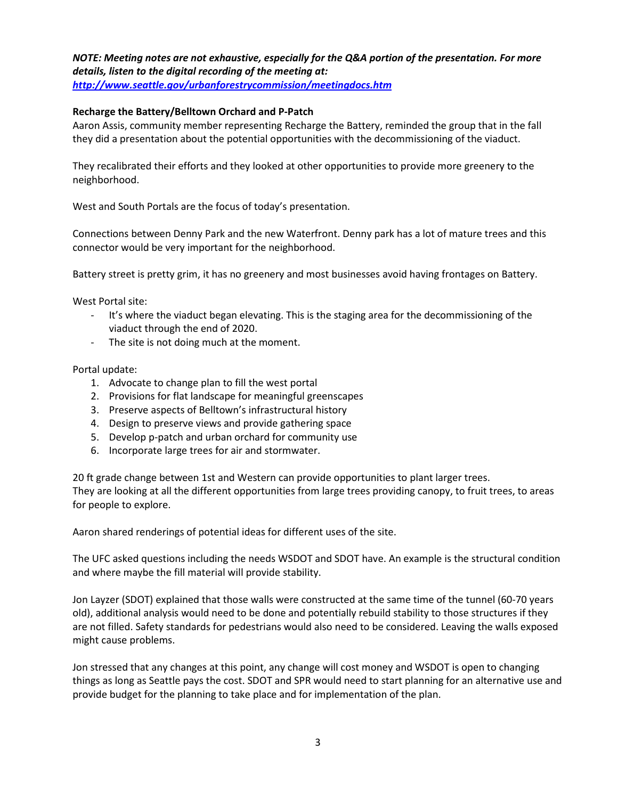# *NOTE: Meeting notes are not exhaustive, especially for the Q&A portion of the presentation. For more details, listen to the digital recording of the meeting at:*

*<http://www.seattle.gov/urbanforestrycommission/meetingdocs.htm>*

# **Recharge the Battery/Belltown Orchard and P-Patch**

Aaron Assis, community member representing Recharge the Battery, reminded the group that in the fall they did a presentation about the potential opportunities with the decommissioning of the viaduct.

They recalibrated their efforts and they looked at other opportunities to provide more greenery to the neighborhood.

West and South Portals are the focus of today's presentation.

Connections between Denny Park and the new Waterfront. Denny park has a lot of mature trees and this connector would be very important for the neighborhood.

Battery street is pretty grim, it has no greenery and most businesses avoid having frontages on Battery.

West Portal site:

- It's where the viaduct began elevating. This is the staging area for the decommissioning of the viaduct through the end of 2020.
- The site is not doing much at the moment.

Portal update:

- 1. Advocate to change plan to fill the west portal
- 2. Provisions for flat landscape for meaningful greenscapes
- 3. Preserve aspects of Belltown's infrastructural history
- 4. Design to preserve views and provide gathering space
- 5. Develop p-patch and urban orchard for community use
- 6. Incorporate large trees for air and stormwater.

20 ft grade change between 1st and Western can provide opportunities to plant larger trees. They are looking at all the different opportunities from large trees providing canopy, to fruit trees, to areas for people to explore.

Aaron shared renderings of potential ideas for different uses of the site.

The UFC asked questions including the needs WSDOT and SDOT have. An example is the structural condition and where maybe the fill material will provide stability.

Jon Layzer (SDOT) explained that those walls were constructed at the same time of the tunnel (60-70 years old), additional analysis would need to be done and potentially rebuild stability to those structures if they are not filled. Safety standards for pedestrians would also need to be considered. Leaving the walls exposed might cause problems.

Jon stressed that any changes at this point, any change will cost money and WSDOT is open to changing things as long as Seattle pays the cost. SDOT and SPR would need to start planning for an alternative use and provide budget for the planning to take place and for implementation of the plan.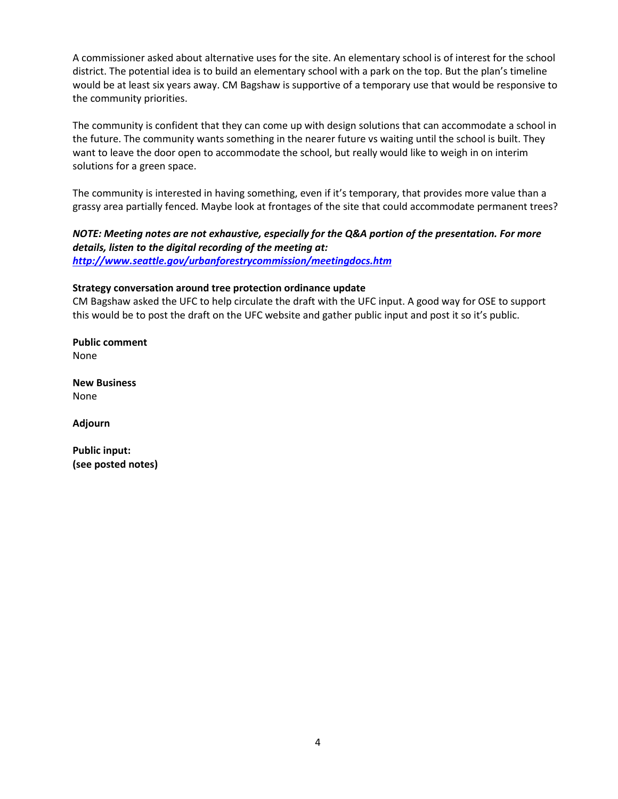A commissioner asked about alternative uses for the site. An elementary school is of interest for the school district. The potential idea is to build an elementary school with a park on the top. But the plan's timeline would be at least six years away. CM Bagshaw is supportive of a temporary use that would be responsive to the community priorities.

The community is confident that they can come up with design solutions that can accommodate a school in the future. The community wants something in the nearer future vs waiting until the school is built. They want to leave the door open to accommodate the school, but really would like to weigh in on interim solutions for a green space.

The community is interested in having something, even if it's temporary, that provides more value than a grassy area partially fenced. Maybe look at frontages of the site that could accommodate permanent trees?

*NOTE: Meeting notes are not exhaustive, especially for the Q&A portion of the presentation. For more details, listen to the digital recording of the meeting at: <http://www.seattle.gov/urbanforestrycommission/meetingdocs.htm>*

# **Strategy conversation around tree protection ordinance update**

CM Bagshaw asked the UFC to help circulate the draft with the UFC input. A good way for OSE to support this would be to post the draft on the UFC website and gather public input and post it so it's public.

**Public comment** None

**New Business** None

**Adjourn**

**Public input: (see posted notes)**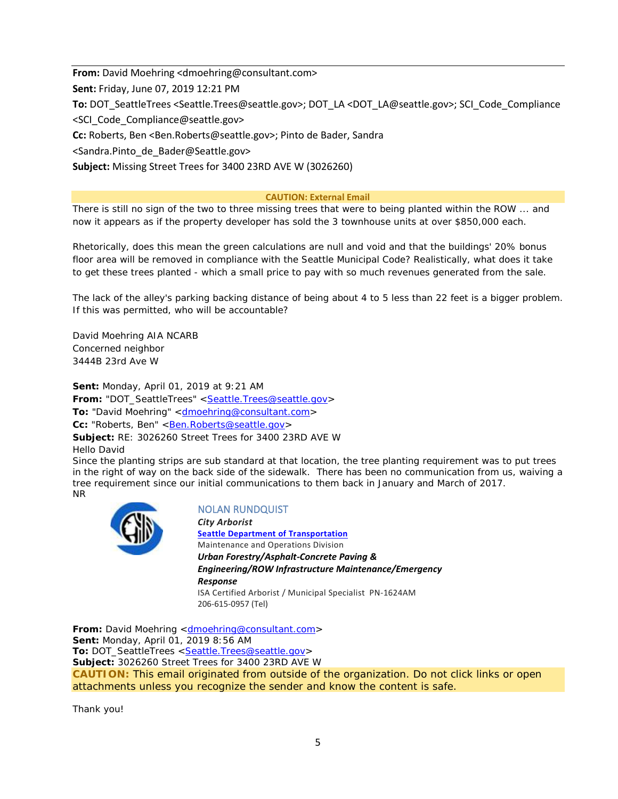**From:** David Moehring <dmoehring@consultant.com> **Sent:** Friday, June 07, 2019 12:21 PM **To:** DOT\_SeattleTrees <Seattle.Trees@seattle.gov>; DOT\_LA <DOT\_LA@seattle.gov>; SCI\_Code\_Compliance <SCI\_Code\_Compliance@seattle.gov> **Cc:** Roberts, Ben <Ben.Roberts@seattle.gov>; Pinto de Bader, Sandra <Sandra.Pinto\_de\_Bader@Seattle.gov>

**Subject:** Missing Street Trees for 3400 23RD AVE W (3026260)

#### **CAUTION: External Email**

There is still no sign of the two to three missing trees that were to being planted within the ROW ... and now it appears as if the property developer has sold the 3 townhouse units at over \$850,000 each.

Rhetorically, does this mean the green calculations are null and void and that the buildings' 20% bonus floor area will be removed in compliance with the Seattle Municipal Code? Realistically, what does it take to get these trees planted - which a small price to pay with so much revenues generated from the sale.

The lack of the alley's parking backing distance of being about 4 to 5 less than 22 feet is a bigger problem. If this was permitted, who will be accountable?

David Moehring AIA NCARB Concerned neighbor 3444B 23rd Ave W

**Sent:** Monday, April 01, 2019 at 9:21 AM From: "DOT\_SeattleTrees" [<Seattle.Trees@seattle.gov>](mailto:Seattle.Trees@seattle.gov) **To:** "David Moehring" [<dmoehring@consultant.com>](mailto:dmoehring@consultant.com) **Cc:** "Roberts, Ben" < <u>Ben.Roberts@seattle.gov</u>> **Subject:** RE: 3026260 Street Trees for 3400 23RD AVE W Hello David

Since the planting strips are sub standard at that location, the tree planting requirement was to put trees in the right of way on the back side of the sidewalk. There has been no communication from us, waiving a tree requirement since our initial communications to them back in January and March of 2017. NR



NOLAN RUNDQUIST

*City Arborist* **[Seattle Department of Transportation](http://www.seattle.gov/transportation)** Maintenance and Operations Division *Urban Forestry/Asphalt-Concrete Paving & Engineering/ROW Infrastructure Maintenance/Emergency Response* ISA Certified Arborist / Municipal Specialist PN-1624AM 206-615-0957 (Tel)

**From:** David Moehring [<dmoehring@consultant.com>](mailto:dmoehring@consultant.com) **Sent:** Monday, April 01, 2019 8:56 AM To: DOT\_SeattleTrees [<Seattle.Trees@seattle.gov>](mailto:Seattle.Trees@seattle.gov) **Subject:** 3026260 Street Trees for 3400 23RD AVE W **CAUTION:** This email originated from outside of the organization. Do not click links or open attachments unless you recognize the sender and know the content is safe.

Thank you!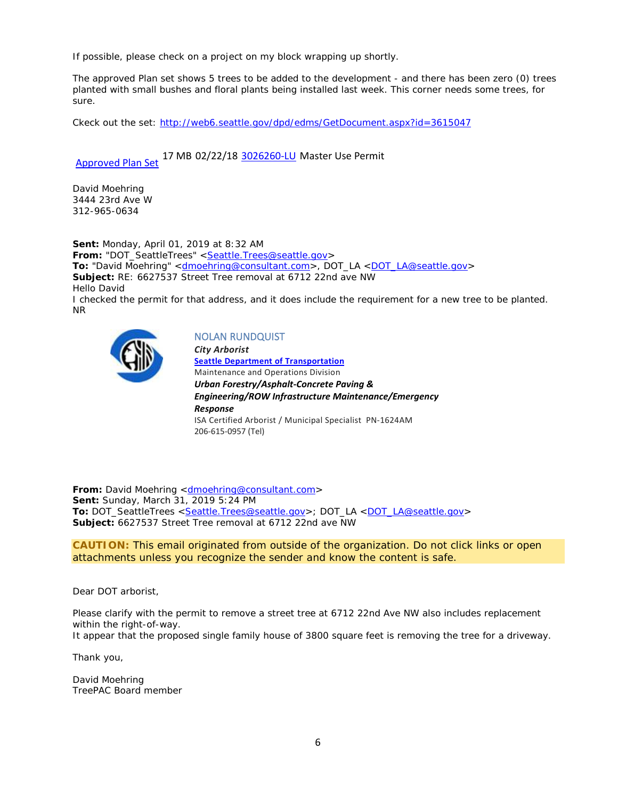If possible, please check on a project on my block wrapping up shortly.

The approved Plan set shows 5 trees to be added to the development - and there has been zero (0) trees planted with small bushes and floral plants being installed last week. This corner needs some trees, for sure.

Ckeck out the set:<http://web6.seattle.gov/dpd/edms/GetDocument.aspx?id=3615047>

[Approved Plan Set](http://web6.seattle.gov/dpd/edms/GetDocument.aspx?id=3615047) 17 MB 02/22/18 [3026260-LU M](https://cosaccela.seattle.gov/portal/customize/linktorecord.aspx?altId=3026260-LU)aster Use Permit

David Moehring 3444 23rd Ave W 312-965-0634

**Sent:** Monday, April 01, 2019 at 8:32 AM From: "DOT\_SeattleTrees" [<Seattle.Trees@seattle.gov>](mailto:Seattle.Trees@seattle.gov) **To:** "David Moehring" [<dmoehring@consultant.com>](mailto:dmoehring@consultant.com), DOT\_LA [<DOT\\_LA@seattle.gov>](mailto:DOT_LA@seattle.gov) **Subject:** RE: 6627537 Street Tree removal at 6712 22nd ave NW Hello David I checked the permit for that address, and it does include the requirement for a new tree to be planted. NR



#### NOLAN RUNDQUIST *City Arborist* **[Seattle Department of Transportation](http://www.seattle.gov/transportation)** Maintenance and Operations Division *Urban Forestry/Asphalt-Concrete Paving & Engineering/ROW Infrastructure Maintenance/Emergency Response* ISA Certified Arborist / Municipal Specialist PN-1624AM 206-615-0957 (Tel)

**From:** David Moehring [<dmoehring@consultant.com>](mailto:dmoehring@consultant.com) **Sent:** Sunday, March 31, 2019 5:24 PM **To:** DOT\_SeattleTrees [<Seattle.Trees@seattle.gov>](mailto:Seattle.Trees@seattle.gov); DOT\_LA [<DOT\\_LA@seattle.gov>](mailto:DOT_LA@seattle.gov) **Subject:** 6627537 Street Tree removal at 6712 22nd ave NW

**CAUTION:** This email originated from outside of the organization. Do not click links or open attachments unless you recognize the sender and know the content is safe.

Dear DOT arborist,

Please clarify with the permit to remove a street tree at 6712 22nd Ave NW also includes replacement within the right-of-way.

It appear that the proposed single family house of 3800 square feet is removing the tree for a driveway.

Thank you,

David Moehring TreePAC Board member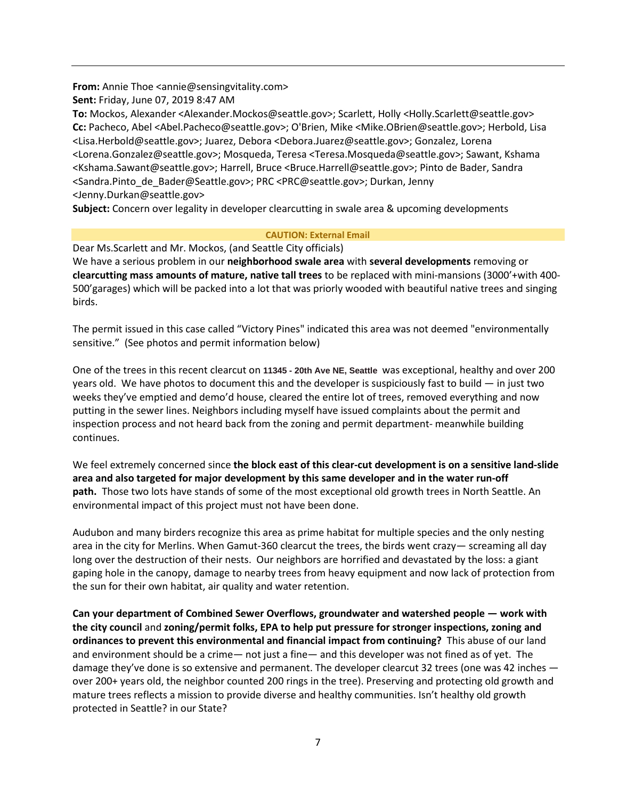**From:** Annie Thoe <annie@sensingvitality.com>

**Sent:** Friday, June 07, 2019 8:47 AM

**To:** Mockos, Alexander <Alexander.Mockos@seattle.gov>; Scarlett, Holly <Holly.Scarlett@seattle.gov> **Cc:** Pacheco, Abel <Abel.Pacheco@seattle.gov>; O'Brien, Mike <Mike.OBrien@seattle.gov>; Herbold, Lisa <Lisa.Herbold@seattle.gov>; Juarez, Debora <Debora.Juarez@seattle.gov>; Gonzalez, Lorena <Lorena.Gonzalez@seattle.gov>; Mosqueda, Teresa <Teresa.Mosqueda@seattle.gov>; Sawant, Kshama <Kshama.Sawant@seattle.gov>; Harrell, Bruce <Bruce.Harrell@seattle.gov>; Pinto de Bader, Sandra <Sandra.Pinto\_de\_Bader@Seattle.gov>; PRC <PRC@seattle.gov>; Durkan, Jenny <Jenny.Durkan@seattle.gov>

**Subject:** Concern over legality in developer clearcutting in swale area & upcoming developments

### **CAUTION: External Email**

Dear Ms.Scarlett and Mr. Mockos, (and Seattle City officials) We have a serious problem in our **neighborhood swale area** with **several developments** removing or **clearcutting mass amounts of mature, native tall trees** to be replaced with mini-mansions (3000'+with 400- 500'garages) which will be packed into a lot that was priorly wooded with beautiful native trees and singing birds.

The permit issued in this case called "Victory Pines" indicated this area was not deemed "environmentally sensitive." (See photos and permit information below)

One of the trees in this recent clearcut on **11345 - 20th Ave NE, Seattle** was exceptional, healthy and over 200 years old. We have photos to document this and the developer is suspiciously fast to build — in just two weeks they've emptied and demo'd house, cleared the entire lot of trees, removed everything and now putting in the sewer lines. Neighbors including myself have issued complaints about the permit and inspection process and not heard back from the zoning and permit department- meanwhile building continues.

We feel extremely concerned since **the block east of this clear-cut development is on a sensitive land-slide area and also targeted for major development by this same developer and in the water run-off path.** Those two lots have stands of some of the most exceptional old growth trees in North Seattle. An environmental impact of this project must not have been done.

Audubon and many birders recognize this area as prime habitat for multiple species and the only nesting area in the city for Merlins. When Gamut-360 clearcut the trees, the birds went crazy— screaming all day long over the destruction of their nests. Our neighbors are horrified and devastated by the loss: a giant gaping hole in the canopy, damage to nearby trees from heavy equipment and now lack of protection from the sun for their own habitat, air quality and water retention.

**Can your department of Combined Sewer Overflows, groundwater and watershed people — work with the city council** and **zoning/permit folks, EPA to help put pressure for stronger inspections, zoning and ordinances to prevent this environmental and financial impact from continuing?** This abuse of our land and environment should be a crime— not just a fine— and this developer was not fined as of yet. The damage they've done is so extensive and permanent. The developer clearcut 32 trees (one was 42 inches over 200+ years old, the neighbor counted 200 rings in the tree). Preserving and protecting old growth and mature trees reflects a mission to provide diverse and healthy communities. Isn't healthy old growth protected in Seattle? in our State?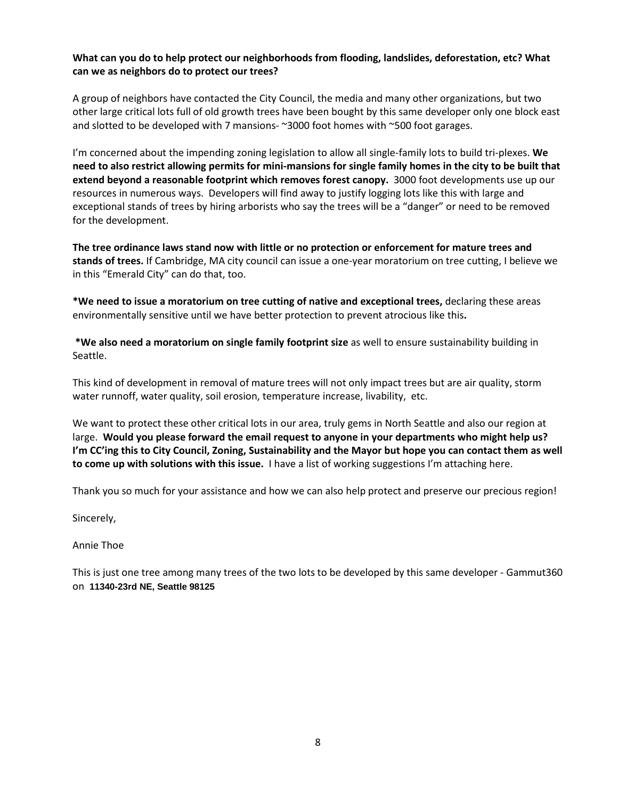# **What can you do to help protect our neighborhoods from flooding, landslides, deforestation, etc? What can we as neighbors do to protect our trees?**

A group of neighbors have contacted the City Council, the media and many other organizations, but two other large critical lots full of old growth trees have been bought by this same developer only one block east and slotted to be developed with 7 mansions- ~3000 foot homes with ~500 foot garages.

I'm concerned about the impending zoning legislation to allow all single-family lots to build tri-plexes. **We need to also restrict allowing permits for mini-mansions for single family homes in the city to be built that extend beyond a reasonable footprint which removes forest canopy.** 3000 foot developments use up our resources in numerous ways. Developers will find away to justify logging lots like this with large and exceptional stands of trees by hiring arborists who say the trees will be a "danger" or need to be removed for the development.

**The tree ordinance laws stand now with little or no protection or enforcement for mature trees and stands of trees.** If Cambridge, MA city council can issue a one-year moratorium on tree cutting, I believe we in this "Emerald City" can do that, too.

**\*We need to issue a moratorium on tree cutting of native and exceptional trees,** declaring these areas environmentally sensitive until we have better protection to prevent atrocious like this**.**

**\*We also need a moratorium on single family footprint size** as well to ensure sustainability building in Seattle.

This kind of development in removal of mature trees will not only impact trees but are air quality, storm water runnoff, water quality, soil erosion, temperature increase, livability, etc.

We want to protect these other critical lots in our area, truly gems in North Seattle and also our region at large. **Would you please forward the email request to anyone in your departments who might help us? I'm CC'ing this to City Council, Zoning, Sustainability and the Mayor but hope you can contact them as well to come up with solutions with this issue.** I have a list of working suggestions I'm attaching here.

Thank you so much for your assistance and how we can also help protect and preserve our precious region!

Sincerely,

Annie Thoe

This is just one tree among many trees of the two lots to be developed by this same developer - Gammut360 on **11340-23rd NE, Seattle 98125**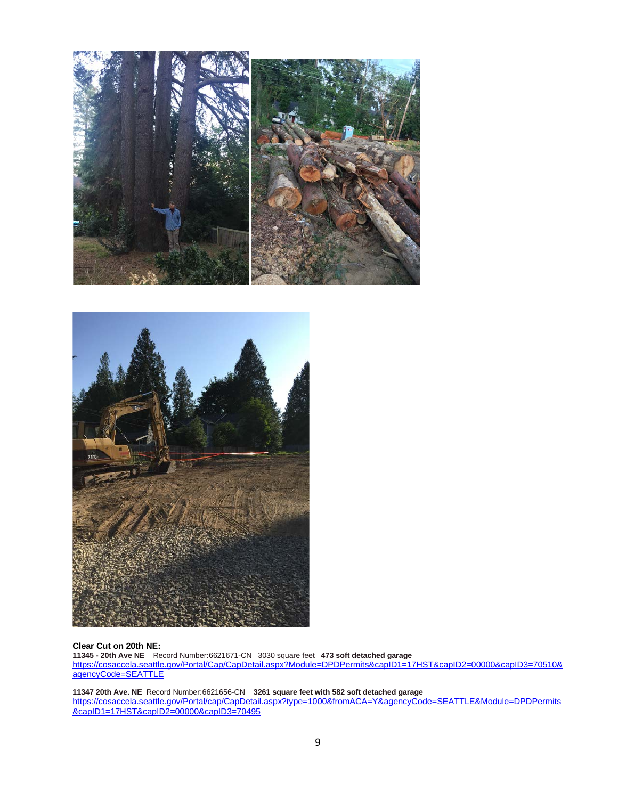



#### **Clear Cut on 20th NE:**

**11345 - 20th Ave NE** Record Number:6621671-CN 3030 square feet **473 soft detached garage** [https://cosaccela.seattle.gov/Portal/Cap/CapDetail.aspx?Module=DPDPermits&capID1=17HST&capID2=00000&capID3=70510&](https://cosaccela.seattle.gov/Portal/Cap/CapDetail.aspx?Module=DPDPermits&capID1=17HST&capID2=00000&capID3=70510&agencyCode=SEATTLE) [agencyCode=SEATTLE](https://cosaccela.seattle.gov/Portal/Cap/CapDetail.aspx?Module=DPDPermits&capID1=17HST&capID2=00000&capID3=70510&agencyCode=SEATTLE)

**11347 20th Ave. NE** Record Number:6621656-CN **3261 square feet with 582 soft detached garage** [https://cosaccela.seattle.gov/Portal/cap/CapDetail.aspx?type=1000&fromACA=Y&agencyCode=SEATTLE&Module=DPDPermits](https://cosaccela.seattle.gov/Portal/cap/CapDetail.aspx?type=1000&fromACA=Y&agencyCode=SEATTLE&Module=DPDPermits&capID1=17HST&capID2=00000&capID3=70495) [&capID1=17HST&capID2=00000&capID3=70495](https://cosaccela.seattle.gov/Portal/cap/CapDetail.aspx?type=1000&fromACA=Y&agencyCode=SEATTLE&Module=DPDPermits&capID1=17HST&capID2=00000&capID3=70495)